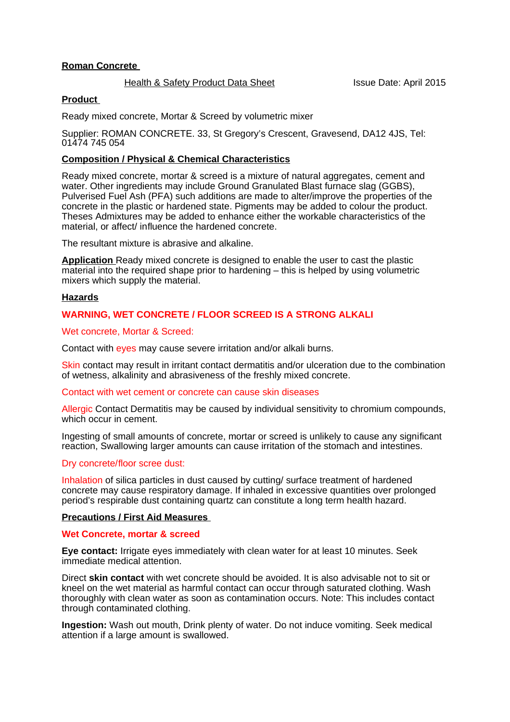## **Roman Concrete**

#### Health & Safety Product Data Sheet Issue Date: April 2015

## **Product**

Ready mixed concrete, Mortar & Screed by volumetric mixer

Supplier: ROMAN CONCRETE. 33, St Gregory's Crescent, Gravesend, DA12 4JS, Tel: 01474 745 054

## **Composition / Physical & Chemical Characteristics**

Ready mixed concrete, mortar & screed is a mixture of natural aggregates, cement and water. Other ingredients may include Ground Granulated Blast furnace slag (GGBS), Pulverised Fuel Ash (PFA) such additions are made to alter/improve the properties of the concrete in the plastic or hardened state. Pigments may be added to colour the product. Theses Admixtures may be added to enhance either the workable characteristics of the material, or affect/ influence the hardened concrete.

The resultant mixture is abrasive and alkaline.

**Application** Ready mixed concrete is designed to enable the user to cast the plastic material into the required shape prior to hardening – this is helped by using volumetric mixers which supply the material.

#### **Hazards**

## **WARNING, WET CONCRETE / FLOOR SCREED IS A STRONG ALKALI**

#### Wet concrete, Mortar & Screed:

Contact with eyes may cause severe irritation and/or alkali burns.

Skin contact may result in irritant contact dermatitis and/or ulceration due to the combination of wetness, alkalinity and abrasiveness of the freshly mixed concrete.

#### Contact with wet cement or concrete can cause skin diseases

Allergic Contact Dermatitis may be caused by individual sensitivity to chromium compounds, which occur in cement.

Ingesting of small amounts of concrete, mortar or screed is unlikely to cause any significant reaction, Swallowing larger amounts can cause irritation of the stomach and intestines.

## Dry concrete/floor scree dust:

Inhalation of silica particles in dust caused by cutting/ surface treatment of hardened concrete may cause respiratory damage. If inhaled in excessive quantities over prolonged period's respirable dust containing quartz can constitute a long term health hazard.

#### **Precautions / First Aid Measures**

#### **Wet Concrete, mortar & screed**

**Eye contact:** Irrigate eyes immediately with clean water for at least 10 minutes. Seek immediate medical attention.

Direct **skin contact** with wet concrete should be avoided. It is also advisable not to sit or kneel on the wet material as harmful contact can occur through saturated clothing. Wash thoroughly with clean water as soon as contamination occurs. Note: This includes contact through contaminated clothing.

**Ingestion:** Wash out mouth, Drink plenty of water. Do not induce vomiting. Seek medical attention if a large amount is swallowed.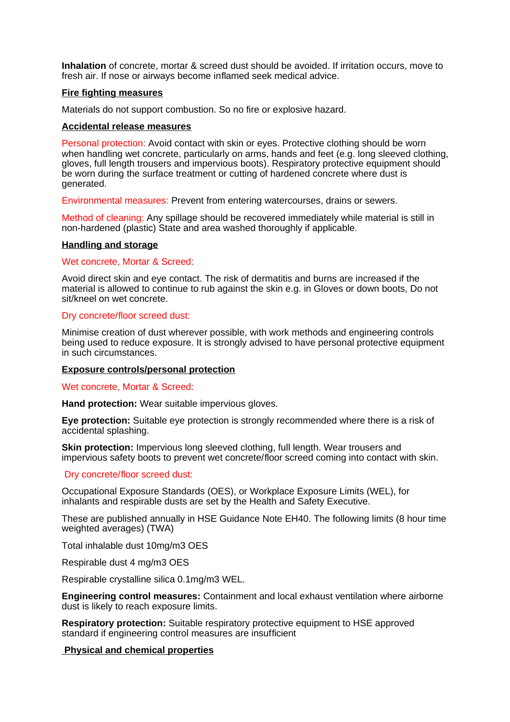**Inhalation** of concrete, mortar & screed dust should be avoided. If irritation occurs, move to fresh air. If nose or airways become inflamed seek medical advice.

#### **Fire fighting measures**

Materials do not support combustion. So no fire or explosive hazard.

#### **Accidental release measures**

Personal protection: Avoid contact with skin or eyes. Protective clothing should be worn when handling wet concrete, particularly on arms, hands and feet (e.g. long sleeved clothing, gloves, full length trousers and impervious boots). Respiratory protective equipment should be worn during the surface treatment or cutting of hardened concrete where dust is generated.

Environmental measures: Prevent from entering watercourses, drains or sewers.

Method of cleaning: Any spillage should be recovered immediately while material is still in non-hardened (plastic) State and area washed thoroughly if applicable.

#### **Handling and storage**

#### Wet concrete, Mortar & Screed:

Avoid direct skin and eye contact. The risk of dermatitis and burns are increased if the material is allowed to continue to rub against the skin e.g. in Gloves or down boots, Do not sit/kneel on wet concrete.

#### Dry concrete/floor screed dust:

Minimise creation of dust wherever possible, with work methods and engineering controls being used to reduce exposure. It is strongly advised to have personal protective equipment in such circumstances.

#### **Exposure controls/personal protection**

Wet concrete, Mortar & Screed:

**Hand protection:** Wear suitable impervious gloves.

**Eye protection:** Suitable eye protection is strongly recommended where there is a risk of accidental splashing.

**Skin protection:** Impervious long sleeved clothing, full length. Wear trousers and impervious safety boots to prevent wet concrete/floor screed coming into contact with skin.

## Dry concrete/floor screed dust:

Occupational Exposure Standards (OES), or Workplace Exposure Limits (WEL), for inhalants and respirable dusts are set by the Health and Safety Executive.

These are published annually in HSE Guidance Note EH40. The following limits (8 hour time weighted averages) (TWA)

Total inhalable dust 10mg/m3 OES

Respirable dust 4 mg/m3 OES

Respirable crystalline silica 0.1mg/m3 WEL.

**Engineering control measures:** Containment and local exhaust ventilation where airborne dust is likely to reach exposure limits.

**Respiratory protection:** Suitable respiratory protective equipment to HSE approved standard if engineering control measures are insufficient

## **Physical and chemical properties**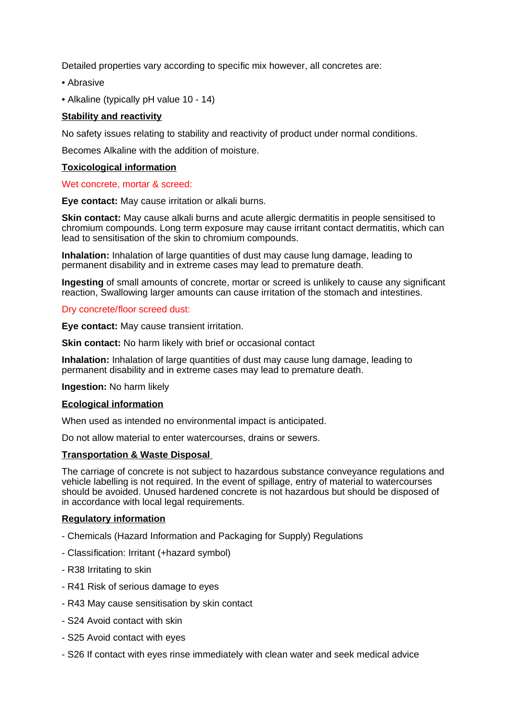Detailed properties vary according to specific mix however, all concretes are:

- Abrasive
- Alkaline (typically pH value 10 14)

## **Stability and reactivity**

No safety issues relating to stability and reactivity of product under normal conditions.

Becomes Alkaline with the addition of moisture.

## **Toxicological information**

#### Wet concrete, mortar & screed:

**Eye contact:** May cause irritation or alkali burns.

**Skin contact:** May cause alkali burns and acute allergic dermatitis in people sensitised to chromium compounds. Long term exposure may cause irritant contact dermatitis, which can lead to sensitisation of the skin to chromium compounds.

**Inhalation:** Inhalation of large quantities of dust may cause lung damage, leading to permanent disability and in extreme cases may lead to premature death.

**Ingesting** of small amounts of concrete, mortar or screed is unlikely to cause any significant reaction, Swallowing larger amounts can cause irritation of the stomach and intestines.

## Dry concrete/floor screed dust:

**Eye contact:** May cause transient irritation.

**Skin contact:** No harm likely with brief or occasional contact

**Inhalation:** Inhalation of large quantities of dust may cause lung damage, leading to permanent disability and in extreme cases may lead to premature death.

**Ingestion:** No harm likely

## **Ecological information**

When used as intended no environmental impact is anticipated.

Do not allow material to enter watercourses, drains or sewers.

## **Transportation & Waste Disposal**

The carriage of concrete is not subject to hazardous substance conveyance regulations and vehicle labelling is not required. In the event of spillage, entry of material to watercourses should be avoided. Unused hardened concrete is not hazardous but should be disposed of in accordance with local legal requirements.

## **Regulatory information**

- Chemicals (Hazard Information and Packaging for Supply) Regulations
- Classification: Irritant (+hazard symbol)
- R38 Irritating to skin
- R41 Risk of serious damage to eyes
- R43 May cause sensitisation by skin contact
- S24 Avoid contact with skin
- S25 Avoid contact with eyes
- S26 If contact with eyes rinse immediately with clean water and seek medical advice